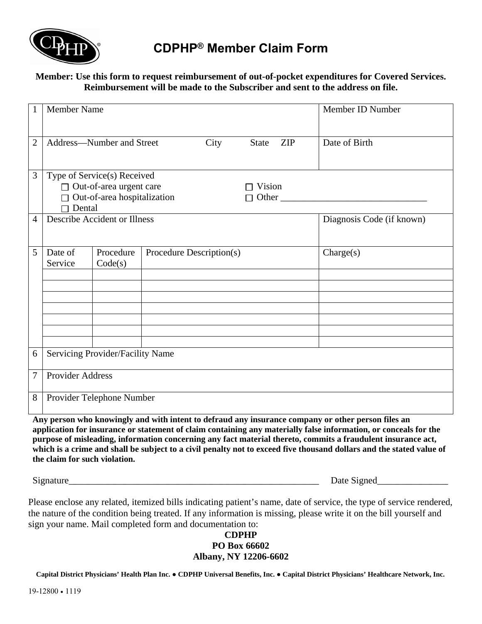

## **CDPHP® Member Claim Form**

### **Member: Use this form to request reimbursement of out-of-pocket expenditures for Covered Services. Reimbursement will be made to the Subscriber and sent to the address on file.**

| $\mathbf{1}$                                                                                                                                                                                                                                                                                                                                | <b>Member Name</b>                                              |                           |  |  |  | Member ID Number          |  |
|---------------------------------------------------------------------------------------------------------------------------------------------------------------------------------------------------------------------------------------------------------------------------------------------------------------------------------------------|-----------------------------------------------------------------|---------------------------|--|--|--|---------------------------|--|
| $\overline{2}$                                                                                                                                                                                                                                                                                                                              | Address-Number and Street<br>City<br><b>ZIP</b><br><b>State</b> |                           |  |  |  | Date of Birth             |  |
| 3                                                                                                                                                                                                                                                                                                                                           | Type of Service(s) Received                                     |                           |  |  |  |                           |  |
|                                                                                                                                                                                                                                                                                                                                             | $\Box$ Out-of-area urgent care<br>Vision                        |                           |  |  |  |                           |  |
|                                                                                                                                                                                                                                                                                                                                             | $\Box$ Out-of-area hospitalization<br>П                         |                           |  |  |  |                           |  |
|                                                                                                                                                                                                                                                                                                                                             | Dental                                                          |                           |  |  |  |                           |  |
| $\overline{4}$                                                                                                                                                                                                                                                                                                                              | <b>Describe Accident or Illness</b>                             |                           |  |  |  | Diagnosis Code (if known) |  |
|                                                                                                                                                                                                                                                                                                                                             |                                                                 |                           |  |  |  |                           |  |
| 5                                                                                                                                                                                                                                                                                                                                           | Date of<br>Procedure<br>Procedure Description(s)                |                           |  |  |  | Change(s)                 |  |
|                                                                                                                                                                                                                                                                                                                                             | Service                                                         | Code(s)                   |  |  |  |                           |  |
|                                                                                                                                                                                                                                                                                                                                             |                                                                 |                           |  |  |  |                           |  |
|                                                                                                                                                                                                                                                                                                                                             |                                                                 |                           |  |  |  |                           |  |
|                                                                                                                                                                                                                                                                                                                                             |                                                                 |                           |  |  |  |                           |  |
|                                                                                                                                                                                                                                                                                                                                             |                                                                 |                           |  |  |  |                           |  |
|                                                                                                                                                                                                                                                                                                                                             |                                                                 |                           |  |  |  |                           |  |
|                                                                                                                                                                                                                                                                                                                                             |                                                                 |                           |  |  |  |                           |  |
| 6                                                                                                                                                                                                                                                                                                                                           | Servicing Provider/Facility Name                                |                           |  |  |  |                           |  |
|                                                                                                                                                                                                                                                                                                                                             |                                                                 |                           |  |  |  |                           |  |
| $\overline{7}$                                                                                                                                                                                                                                                                                                                              | Provider Address                                                |                           |  |  |  |                           |  |
|                                                                                                                                                                                                                                                                                                                                             |                                                                 |                           |  |  |  |                           |  |
| $8\,$                                                                                                                                                                                                                                                                                                                                       |                                                                 | Provider Telephone Number |  |  |  |                           |  |
|                                                                                                                                                                                                                                                                                                                                             |                                                                 |                           |  |  |  |                           |  |
| Any person who knowingly and with intent to defraud any insurance company or other person files an<br>$\mathbf{P}$ and $\mathbf{P}$ are assumed to the contract of the contract of the contract of the contract of the contract of the contract of the contract of the contract of the contract of the contract of the contract of the cont |                                                                 |                           |  |  |  |                           |  |

**application for insurance or statement of claim containing any materially false information, or conceals for the purpose of misleading, information concerning any fact material thereto, commits a fraudulent insurance act,**  which is a crime and shall be subject to a civil penalty not to exceed five thousand dollars and the stated value of **the claim for such violation.** 

Signature\_\_\_\_\_\_\_\_\_\_\_\_\_\_\_\_\_\_\_\_\_\_\_\_\_\_\_\_\_\_\_\_\_\_\_\_\_\_\_\_\_\_\_\_\_\_\_\_\_\_\_\_\_ Date Signed\_\_\_\_\_\_\_\_\_\_\_\_\_\_\_

Please enclose any related, itemized bills indicating patient's name, date of service, the type of service rendered, the nature of the condition being treated. If any information is missing, please write it on the bill yourself and sign your name. Mail completed form and documentation to:

#### **CDPHP PO Box 66602 Albany, NY 12206-6602**

**Capital District Physicians' Health Plan Inc. ● CDPHP Universal Benefits, Inc. ● Capital District Physicians' Healthcare Network, Inc.**